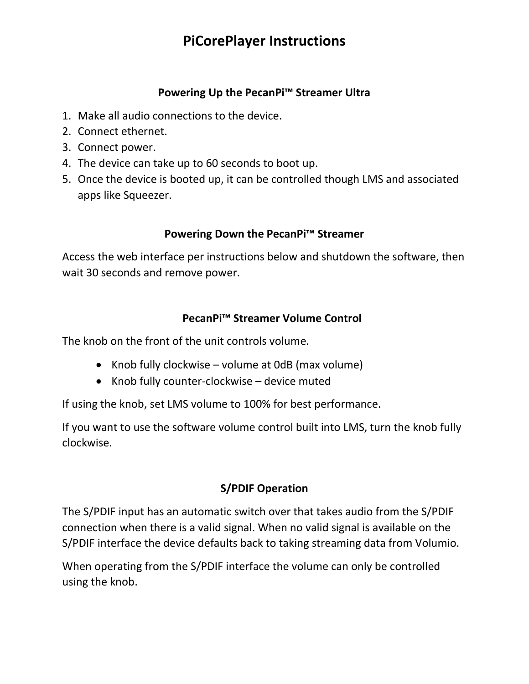# **PiCorePlayer Instructions**

## **Powering Up the PecanPi™ Streamer Ultra**

- 1. Make all audio connections to the device.
- 2. Connect ethernet.
- 3. Connect power.
- 4. The device can take up to 60 seconds to boot up.
- 5. Once the device is booted up, it can be controlled though LMS and associated apps like Squeezer.

## **Powering Down the PecanPi™ Streamer**

Access the web interface per instructions below and shutdown the software, then wait 30 seconds and remove power.

## **PecanPi™ Streamer Volume Control**

The knob on the front of the unit controls volume.

- Knob fully clockwise volume at 0dB (max volume)
- Knob fully counter-clockwise device muted

If using the knob, set LMS volume to 100% for best performance.

If you want to use the software volume control built into LMS, turn the knob fully clockwise.

## **S/PDIF Operation**

The S/PDIF input has an automatic switch over that takes audio from the S/PDIF connection when there is a valid signal. When no valid signal is available on the S/PDIF interface the device defaults back to taking streaming data from Volumio.

When operating from the S/PDIF interface the volume can only be controlled using the knob.